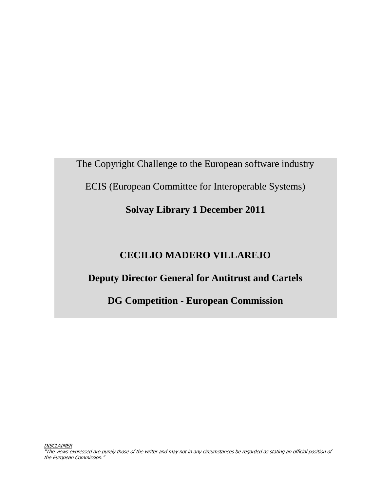The Copyright Challenge to the European software industry ECIS (European Committee for Interoperable Systems)

## **Solvay Library 1 December 2011**

## **CECILIO MADERO VILLAREJO**

## **Deputy Director General for Antitrust and Cartels**

**DG Competition - European Commission**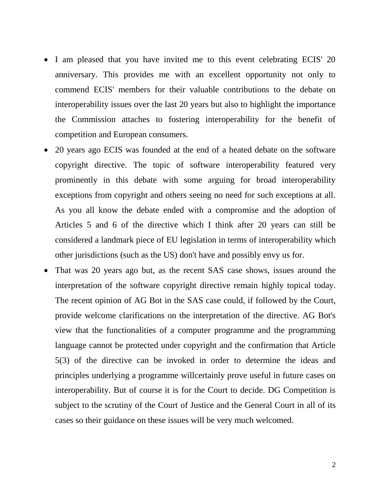- I am pleased that you have invited me to this event celebrating ECIS' 20 anniversary. This provides me with an excellent opportunity not only to commend ECIS' members for their valuable contributions to the debate on interoperability issues over the last 20 years but also to highlight the importance the Commission attaches to fostering interoperability for the benefit of competition and European consumers.
- 20 years ago ECIS was founded at the end of a heated debate on the software copyright directive. The topic of software interoperability featured very prominently in this debate with some arguing for broad interoperability exceptions from copyright and others seeing no need for such exceptions at all. As you all know the debate ended with a compromise and the adoption of Articles 5 and 6 of the directive which I think after 20 years can still be considered a landmark piece of EU legislation in terms of interoperability which other jurisdictions (such as the US) don't have and possibly envy us for.
- That was 20 years ago but, as the recent SAS case shows, issues around the interpretation of the software copyright directive remain highly topical today. The recent opinion of AG Bot in the SAS case could, if followed by the Court, provide welcome clarifications on the interpretation of the directive. AG Bot's view that the functionalities of a computer programme and the programming language cannot be protected under copyright and the confirmation that Article 5(3) of the directive can be invoked in order to determine the ideas and principles underlying a programme willcertainly prove useful in future cases on interoperability. But of course it is for the Court to decide. DG Competition is subject to the scrutiny of the Court of Justice and the General Court in all of its cases so their guidance on these issues will be very much welcomed.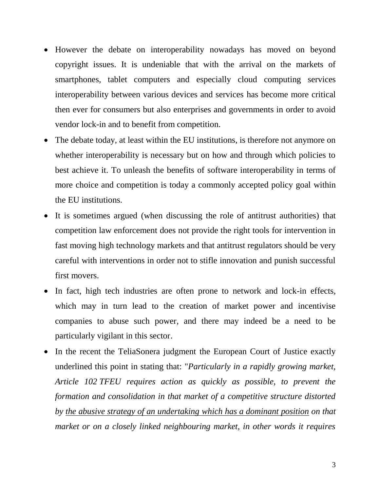- However the debate on interoperability nowadays has moved on beyond copyright issues. It is undeniable that with the arrival on the markets of smartphones, tablet computers and especially cloud computing services interoperability between various devices and services has become more critical then ever for consumers but also enterprises and governments in order to avoid vendor lock-in and to benefit from competition.
- The debate today, at least within the EU institutions, is therefore not anymore on whether interoperability is necessary but on how and through which policies to best achieve it. To unleash the benefits of software interoperability in terms of more choice and competition is today a commonly accepted policy goal within the EU institutions.
- It is sometimes argued (when discussing the role of antitrust authorities) that competition law enforcement does not provide the right tools for intervention in fast moving high technology markets and that antitrust regulators should be very careful with interventions in order not to stifle innovation and punish successful first movers.
- In fact, high tech industries are often prone to network and lock-in effects, which may in turn lead to the creation of market power and incentivise companies to abuse such power, and there may indeed be a need to be particularly vigilant in this sector.
- In the recent the TeliaSonera judgment the European Court of Justice exactly underlined this point in stating that: "*Particularly in a rapidly growing market, Article 102 TFEU requires action as quickly as possible, to prevent the formation and consolidation in that market of a competitive structure distorted by the abusive strategy of an undertaking which has a dominant position on that market or on a closely linked neighbouring market, in other words it requires*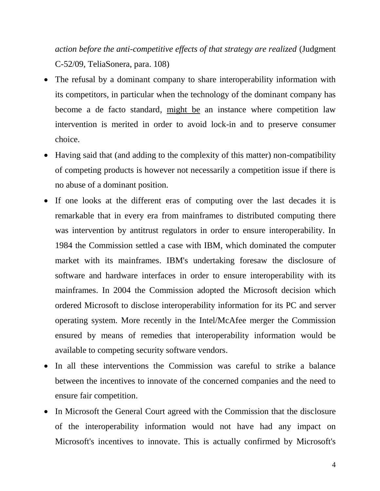*action before the anti-competitive effects of that strategy are realized* (Judgment C-52/09, TeliaSonera, para. 108)

- The refusal by a dominant company to share interoperability information with its competitors, in particular when the technology of the dominant company has become a de facto standard, might be an instance where competition law intervention is merited in order to avoid lock-in and to preserve consumer choice.
- Having said that (and adding to the complexity of this matter) non-compatibility of competing products is however not necessarily a competition issue if there is no abuse of a dominant position.
- If one looks at the different eras of computing over the last decades it is remarkable that in every era from mainframes to distributed computing there was intervention by antitrust regulators in order to ensure interoperability. In 1984 the Commission settled a case with IBM, which dominated the computer market with its mainframes. IBM's undertaking foresaw the disclosure of software and hardware interfaces in order to ensure interoperability with its mainframes. In 2004 the Commission adopted the Microsoft decision which ordered Microsoft to disclose interoperability information for its PC and server operating system. More recently in the Intel/McAfee merger the Commission ensured by means of remedies that interoperability information would be available to competing security software vendors.
- In all these interventions the Commission was careful to strike a balance between the incentives to innovate of the concerned companies and the need to ensure fair competition.
- In Microsoft the General Court agreed with the Commission that the disclosure of the interoperability information would not have had any impact on Microsoft's incentives to innovate. This is actually confirmed by Microsoft's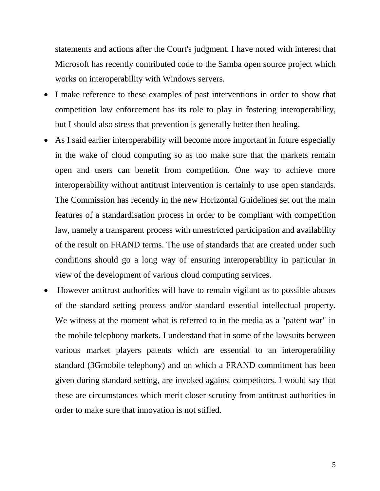statements and actions after the Court's judgment. I have noted with interest that Microsoft has recently contributed code to the Samba open source project which works on interoperability with Windows servers.

- I make reference to these examples of past interventions in order to show that competition law enforcement has its role to play in fostering interoperability, but I should also stress that prevention is generally better then healing.
- As I said earlier interoperability will become more important in future especially in the wake of cloud computing so as too make sure that the markets remain open and users can benefit from competition. One way to achieve more interoperability without antitrust intervention is certainly to use open standards. The Commission has recently in the new Horizontal Guidelines set out the main features of a standardisation process in order to be compliant with competition law, namely a transparent process with unrestricted participation and availability of the result on FRAND terms. The use of standards that are created under such conditions should go a long way of ensuring interoperability in particular in view of the development of various cloud computing services.
- However antitrust authorities will have to remain vigilant as to possible abuses of the standard setting process and/or standard essential intellectual property. We witness at the moment what is referred to in the media as a "patent war" in the mobile telephony markets. I understand that in some of the lawsuits between various market players patents which are essential to an interoperability standard (3Gmobile telephony) and on which a FRAND commitment has been given during standard setting, are invoked against competitors. I would say that these are circumstances which merit closer scrutiny from antitrust authorities in order to make sure that innovation is not stifled.